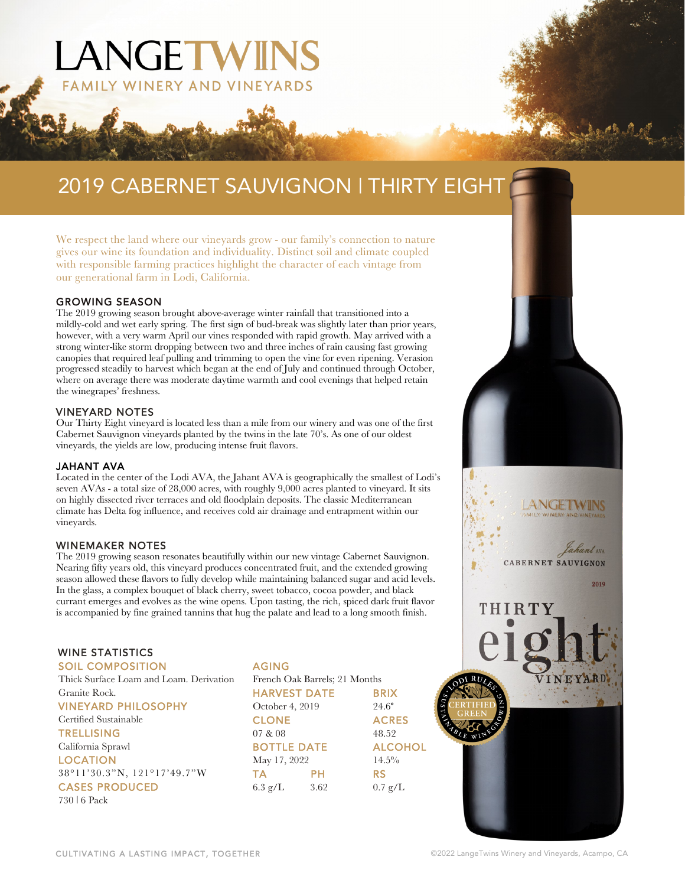# 2019 CABERNET SAUVIGNON | THIRTY EIGHT

We respect the land where our vineyards grow - our family's connection to nature gives our wine its foundation and individuality. Distinct soil and climate coupled with responsible farming practices highlight the character of each vintage from our generational farm in Lodi, California.

LANGETWIN

WINERY AND VINEYARDS

#### GROWING SEASON

The 2019 growing season brought above-average winter rainfall that transitioned into a mildly-cold and wet early spring. The first sign of bud-break was slightly later than prior years, however, with a very warm April our vines responded with rapid growth. May arrived with a strong winter-like storm dropping between two and three inches of rain causing fast growing canopies that required leaf pulling and trimming to open the vine for even ripening. Verasion progressed steadily to harvest which began at the end of July and continued through October, where on average there was moderate daytime warmth and cool evenings that helped retain the winegrapes' freshness.

#### VINEYARD NOTES

Our Thirty Eight vineyard is located less than a mile from our winery and was one of the first Cabernet Sauvignon vineyards planted by the twins in the late 70's. As one of our oldest vineyards, the yields are low, producing intense fruit flavors.

#### JAHANT AVA

Located in the center of the Lodi AVA, the Jahant AVA is geographically the smallest of Lodi's seven AVAs - a total size of 28,000 acres, with roughly 9,000 acres planted to vineyard. It sits on highly dissected river terraces and old floodplain deposits. The classic Mediterranean climate has Delta fog influence, and receives cold air drainage and entrapment within our vineyards.

#### WINEMAKER NOTES

The 2019 growing season resonates beautifully within our new vintage Cabernet Sauvignon. Nearing fifty years old, this vineyard produces concentrated fruit, and the extended growing season allowed these flavors to fully develop while maintaining balanced sugar and acid levels. In the glass, a complex bouquet of black cherry, sweet tobacco, cocoa powder, and black currant emerges and evolves as the wine opens. Upon tasting, the rich, spiced dark fruit flavor is accompanied by fine grained tannins that hug the palate and lead to a long smooth finish.

#### WINE STATISTICS

SOIL COMPOSITION

Thick Surface Loam and Loam. Derivation Granite Rock. VINEYARD PHILOSOPHY Certified Sustainable **TRELLISING** California Sprawl LOCATION 38°11'30.3"N, 121°17'49.7"W CASES PRODUCED 730 | 6 Pack

AGING French Oak Barrels; 21 Months HARVEST DATE BRIX October 4, 2019 24.6° CLONE ACRES 07 & 08 48.52 BOTTLE DATE ALCOHOL May 17, 2022 14.5% TA PH RS 6.3 g/L 3.62 0.7 g/L

**CABERNET SAUVIGNON** 

VINEYARD

THIRTY

2019